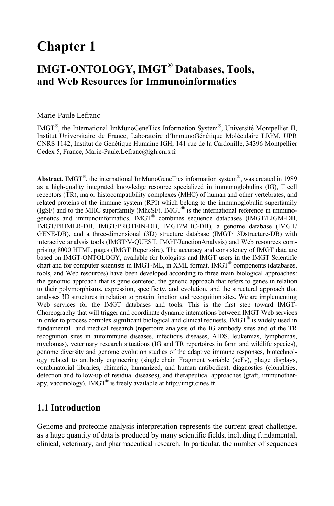# **Chapter 1**

## **IMGT-ONTOLOGY, IMGT® Databases, Tools, and Web Resources for Immunoinformatics**

#### Marie-Paule Lefranc

IMGT®, the International ImMunoGeneTics Information System®, Université Montpellier II, Institut Universitaire de France, Laboratoire d'ImmunoGénétique Moléculaire LIGM, UPR CNRS 1142, Institut de Génétique Humaine IGH, 141 rue de la Cardonille, 34396 Montpellier Cedex 5, France, Marie-Paule.Lefranc@igh.cnrs.fr

**Abstract.** IMGT®, the international ImMunoGeneTics information system®, was created in 1989 as a high-quality integrated knowledge resource specialized in immunoglobulins (IG), T cell receptors (TR), major histocompatibility complexes (MHC) of human and other vertebrates, and related proteins of the immune system (RPI) which belong to the immunoglobulin superfamily (IgSF) and to the MHC superfamily (MhcSF). IMGT<sup>®</sup> is the international reference in immunogenetics and immunoinformatics.  $IMGT^{\circledR}$  combines sequence databases ( $IMGT/LIGM-DB$ , IMGT/PRIMER-DB, IMGT/PROTEIN-DB, IMGT/MHC-DB), a genome database (IMGT/ GENE-DB), and a three-dimensional (3D) structure database (IMGT/ 3Dstructure-DB) with interactive analysis tools (IMGT/V-QUEST, IMGT/JunctionAnalysis) and Web resources comprising 8000 HTML pages (IMGT Repertoire). The accuracy and consistency of IMGT data are based on IMGT-ONTOLOGY, available for biologists and IMGT users in the IMGT Scientific chart and for computer scientists in IMGT-ML, in XML format. IMGT<sup>®</sup> components (databases, tools, and Web resources) have been developed according to three main biological approaches: the genomic approach that is gene centered, the genetic approach that refers to genes in relation to their polymorphisms, expression, specificity, and evolution, and the structural approach that analyses 3D structures in relation to protein function and recognition sites. We are implementing Web services for the IMGT databases and tools. This is the first step toward IMGT-Choreography that will trigger and coordinate dynamic interactions between IMGT Web services in order to process complex significant biological and clinical requests. IMGT<sup>®</sup> is widely used in fundamental and medical research (repertoire analysis of the IG antibody sites and of the TR recognition sites in autoimmune diseases, infectious diseases, AIDS, leukemias, lymphomas, myelomas), veterinary research situations (IG and TR repertoires in farm and wildlife species), genome diversity and genome evolution studies of the adaptive immune responses, biotechnology related to antibody engineering (single chain Fragment variable (scFv), phage displays, combinatorial libraries, chimeric, humanized, and human antibodies), diagnostics (clonalities, detection and follow-up of residual diseases), and therapeutical approaches (graft, immunotherapy, vaccinology). IM $\hat{GT}^{\circledR}$  is freely available at http://imgt.cines.fr.

#### **1.1 Introduction**

Genome and proteome analysis interpretation represents the current great challenge, as a huge quantity of data is produced by many scientific fields, including fundamental, clinical, veterinary, and pharmaceutical research. In particular, the number of sequences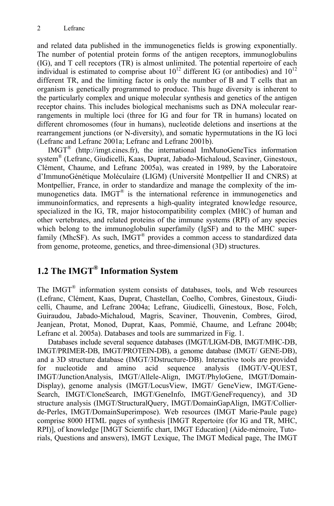and related data published in the immunogenetics fields is growing exponentially. The number of potential protein forms of the antigen receptors, immunoglobulins (IG), and T cell receptors (TR) is almost unlimited. The potential repertoire of each individual is estimated to comprise about  $10^{12}$  different IG (or antibodies) and  $10^{12}$ different TR, and the limiting factor is only the number of B and T cells that an organism is genetically programmed to produce. This huge diversity is inherent to the particularly complex and unique molecular synthesis and genetics of the antigen receptor chains. This includes biological mechanisms such as DNA molecular rearrangements in multiple loci (three for IG and four for TR in humans) located on different chromosomes (four in humans), nucleotide deletions and insertions at the rearrangement junctions (or N-diversity), and somatic hypermutations in the IG loci (Lefranc and Lefranc 2001a; Lefranc and Lefranc 2001b).

IMGT® (http://imgt.cines.fr), the international ImMunoGeneTics information system® (Lefranc, Giudicelli, Kaas, Duprat, Jabado-Michaloud, Scaviner, Ginestoux, Clément, Chaume, and Lefranc 2005a), was created in 1989, by the Laboratoire d'ImmunoGénétique Moléculaire (LIGM) (Université Montpellier II and CNRS) at Montpellier, France, in order to standardize and manage the complexity of the immunogenetics data. IMGT $^{\circ}$  is the international reference in immunogenetics and immunoinformatics, and represents a high-quality integrated knowledge resource, specialized in the IG, TR, major histocompatibility complex (MHC) of human and other vertebrates, and related proteins of the immune systems (RPI) of any species which belong to the immunoglobulin superfamily (IgSF) and to the MHC superfamily (MhcSF). As such,  $IMGT^{\otimes}$  provides a common access to standardized data from genome, proteome, genetics, and three-dimensional (3D) structures.

## **1.2 The IMGT® Information System**

The IMGT® information system consists of databases, tools, and Web resources (Lefranc, Clément, Kaas, Duprat, Chastellan, Coelho, Combres, Ginestoux, Giudicelli, Chaume, and Lefranc 2004a; Lefranc, Giudicelli, Ginestoux, Bosc, Folch, Guiraudou, Jabado-Michaloud, Magris, Scaviner, Thouvenin, Combres, Girod, Jeanjean, Protat, Monod, Duprat, Kaas, Pommié, Chaume, and Lefranc 2004b; Lefranc et al. 2005a). Databases and tools are summarized in Fig. 1.

Databases include several sequence databases (IMGT/LIGM-DB, IMGT/MHC-DB, IMGT/PRIMER-DB, IMGT/PROTEIN-DB), a genome database (IMGT/ GENE-DB), and a 3D structure database (IMGT/3Dstructure-DB). Interactive tools are provided for nucleotide and amino acid sequence analysis (IMGT/V-QUEST, IMGT/JunctionAnalysis, IMGT/Allele-Align, IMGT/PhyloGene, IMGT/Domain-Display), genome analysis (IMGT/LocusView, IMGT/ GeneView, IMGT/Gene-Search, IMGT/CloneSearch, IMGT/GeneInfo, IMGT/GeneFrequency), and 3D structure analysis (IMGT/StructuralQuery, IMGT/DomainGapAlign, IMGT/Collierde-Perles, IMGT/DomainSuperimpose). Web resources (IMGT Marie-Paule page) comprise 8000 HTML pages of synthesis [IMGT Repertoire (for IG and TR, MHC, RPI)], of knowledge [IMGT Scientific chart, IMGT Education] (Aide-mémoire, Tutorials, Questions and answers), IMGT Lexique, The IMGT Medical page, The IMGT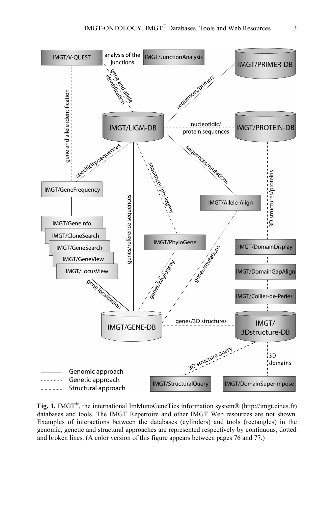

**Fig. 1.** IMGT®, the international ImMunoGeneTics information system® (http://imgt.cines.fr) databases and tools. The IMGT Repertoire and other IMGT Web resources are not shown. Examples of interactions between the databases (cylinders) and tools (rectangles) in the genomic, genetic and structural approaches are represented respectively by continuous, dotted and broken lines. (A color version of this figure appears between pages 76 and 77.)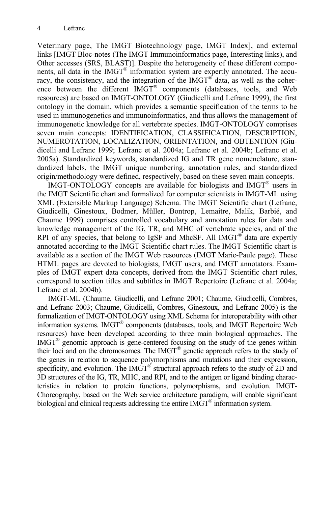Veterinary page, The IMGT Biotechnology page, IMGT Index], and external links [IMGT Bloc-notes (The IMGT Immunoinformatics page, Interesting links), and Other accesses (SRS, BLAST)]. Despite the heterogeneity of these different components, all data in the  $IMGT^{\otimes}$  information system are expertly annotated. The accuracy, the consistency, and the integration of the  $IMGT^{\mathcal{D}}$  data, as well as the coherence between the different IMGT® components (databases, tools, and Web resources) are based on IMGT-ONTOLOGY (Giudicelli and Lefranc 1999), the first ontology in the domain, which provides a semantic specification of the terms to be used in immunogenetics and immunoinformatics, and thus allows the management of immunogenetic knowledge for all vertebrate species. IMGT-ONTOLOGY comprises seven main concepts: IDENTIFICATION, CLASSIFICATION, DESCRIPTION, NUMEROTATION, LOCALIZATION, ORIENTATION, and OBTENTION (Giudicelli and Lefranc 1999; Lefranc et al. 2004a; Lefranc et al. 2004b; Lefranc et al. 2005a). Standardized keywords, standardized IG and TR gene nomenclature, standardized labels, the IMGT unique numbering, annotation rules, and standardized origin/methodology were defined, respectively, based on these seven main concepts.

IMGT-ONTOLOGY concepts are available for biologists and  $IMGT^{\otimes}$  users in the IMGT Scientific chart and formalized for computer scientists in IMGT-ML using XML (Extensible Markup Language) Schema. The IMGT Scientific chart (Lefranc, Giudicelli, Ginestoux, Bodmer, Müller, Bontrop, Lemaitre, Malik, Barbié, and Chaume 1999) comprises controlled vocabulary and annotation rules for data and knowledge management of the IG, TR, and MHC of vertebrate species, and of the RPI of any species, that belong to IgSF and MhcSF. All IMGT® data are expertly annotated according to the IMGT Scientific chart rules. The IMGT Scientific chart is available as a section of the IMGT Web resources (IMGT Marie-Paule page). These HTML pages are devoted to biologists, IMGT users, and IMGT annotators. Examples of IMGT expert data concepts, derived from the IMGT Scientific chart rules, correspond to section titles and subtitles in IMGT Repertoire (Lefranc et al. 2004a; Lefranc et al. 2004b).

IMGT-ML (Chaume, Giudicelli, and Lefranc 2001; Chaume, Giudicelli, Combres, and Lefranc 2003; Chaume, Giudicelli, Combres, Ginestoux, and Lefranc 2005) is the formalization of IMGT-ONTOLOGY using XML Schema for interoperability with other information systems. IMGT® components (databases, tools, and IMGT Repertoire Web resources) have been developed according to three main biological approaches. The IMGT® genomic approach is gene-centered focusing on the study of the genes within their loci and on the chromosomes. The IMGT® genetic approach refers to the study of the genes in relation to sequence polymorphisms and mutations and their expression, specificity, and evolution. The  $IMGT^{\circledR}$  structural approach refers to the study of 2D and 3D structures of the IG, TR, MHC, and RPI, and to the antigen or ligand binding characteristics in relation to protein functions, polymorphisms, and evolution. IMGT-Choreography, based on the Web service architecture paradigm, will enable significant biological and clinical requests addressing the entire IMGT<sup>®</sup> information system.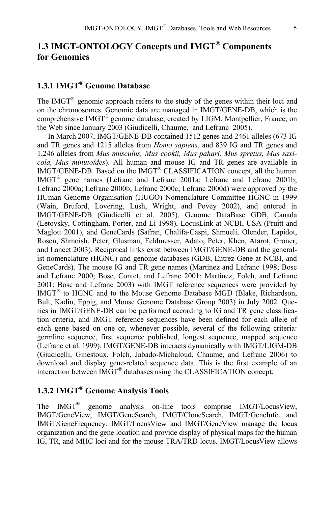### **1.3 IMGT-ONTOLOGY Concepts and IMGT® Components for Genomics**

#### **1.3.1 IMGT® Genome Database**

The IMGT<sup>®</sup> genomic approach refers to the study of the genes within their loci and on the chromosomes. Genomic data are managed in IMGT/GENE-DB, which is the comprehensive IMGT® genome database, created by LIGM, Montpellier, France, on the Web since January 2003 (Giudicelli, Chaume, and Lefranc 2005).

In March 2007, IMGT/GENE-DB contained 1512 genes and 2461 alleles (673 IG and TR genes and 1215 alleles from *Homo sapiens*, and 839 IG and TR genes and 1,246 alleles from *Mus musculus, Mus cookii, Mus pahari, Mus spretus, Mus saxicola, Mus minutoïdes*). All human and mouse IG and TR genes are available in IMGT/GENE-DB. Based on the IMGT® CLASSIFICATION concept, all the human IMGT® gene names (Lefranc and Lefranc 2001a; Lefranc and Lefranc 2001b; Lefranc 2000a; Lefranc 2000b; Lefranc 2000c; Lefranc 2000d) were approved by the HUman Genome Organisation (HUGO) Nomenclature Committee HGNC in 1999 (Wain, Bruford, Lovering, Lush, Wright, and Povey 2002), and entered in IMGT/GENE-DB (Giudicelli et al. 2005), Genome DataBase GDB, Canada (Letovsky, Cottingham, Porter, and Li 1998), LocusLink at NCBI, USA (Pruitt and Maglott 2001), and GeneCards (Safran, Chalifa-Caspi, Shmueli, Olender, Lapidot, Rosen, Shmoish, Peter, Glusman, Feldmesser, Adato, Peter, Khen, Atarot, Groner, and Lancet 2003). Reciprocal links exist between IMGT/GENE-DB and the generalist nomenclature (HGNC) and genome databases (GDB, Entrez Gene at NCBI, and GeneCards). The mouse IG and TR gene names (Martinez and Lefranc 1998; Bosc and Lefranc 2000; Bosc, Contet, and Lefranc 2001; Martinez, Folch, and Lefranc 2001; Bosc and Lefranc 2003) with IMGT reference sequences were provided by IMGT® to HGNC and to the Mouse Genome Database MGD (Blake, Richardson, Bult, Kadin, Eppig, and Mouse Genome Database Group 2003) in July 2002. Queries in IMGT/GENE-DB can be performed according to IG and TR gene classification criteria, and IMGT reference sequences have been defined for each allele of each gene based on one or, whenever possible, several of the following criteria: germline sequence, first sequence published, longest sequence, mapped sequence (Lefranc et al. 1999). IMGT/GENE-DB interacts dynamically with IMGT/LIGM-DB (Giudicelli, Ginestoux, Folch, Jabado-Michaloud, Chaume, and Lefranc 2006) to download and display gene-related sequence data. This is the first example of an interaction between IMGT® databases using the CLASSIFICATION concept.

### **1.3.2 IMGT® Genome Analysis Tools**

The IMGT<sup>®</sup> genome analysis on-line tools comprise IMGT/LocusView, IMGT/GeneView, IMGT/GeneSearch, IMGT/CloneSearch, IMGT/GeneInfo, and IMGT/GeneFrequency. IMGT/LocusView and IMGT/GeneView manage the locus organization and the gene location and provide display of physical maps for the human IG, TR, and MHC loci and for the mouse TRA/TRD locus. IMGT/LocusView allows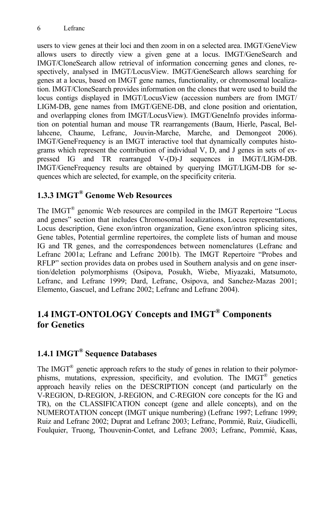users to view genes at their loci and then zoom in on a selected area. IMGT/GeneView allows users to directly view a given gene at a locus. IMGT/GeneSearch and IMGT/CloneSearch allow retrieval of information concerning genes and clones, respectively, analysed in IMGT/LocusView. IMGT/GeneSearch allows searching for genes at a locus, based on IMGT gene names, functionality, or chromosomal localization. IMGT/CloneSearch provides information on the clones that were used to build the locus contigs displayed in IMGT/LocusView (accession numbers are from IMGT/ LIGM-DB, gene names from IMGT/GENE-DB, and clone position and orientation, and overlapping clones from IMGT/LocusView). IMGT/GeneInfo provides information on potential human and mouse TR rearrangements (Baum, Hierle, Pascal, Bellahcene, Chaume, Lefranc, Jouvin-Marche, Marche, and Demongeot 2006). IMGT/GeneFrequency is an IMGT interactive tool that dynamically computes histograms which represent the contribution of individual V, D, and J genes in sets of expressed IG and TR rearranged V-(D)-J sequences in IMGT/LIGM-DB. IMGT/GeneFrequency results are obtained by querying IMGT/LIGM-DB for sequences which are selected, for example, on the specificity criteria.

### **1.3.3 IMGT® Genome Web Resources**

The IMGT<sup>®</sup> genomic Web resources are compiled in the IMGT Repertoire "Locus and genes" section that includes Chromosomal localizations, Locus representations, Locus description, Gene exon/intron organization, Gene exon/intron splicing sites, Gene tables, Potential germline repertoires, the complete lists of human and mouse IG and TR genes, and the correspondences between nomenclatures (Lefranc and Lefranc 2001a; Lefranc and Lefranc 2001b). The IMGT Repertoire "Probes and RFLP" section provides data on probes used in Southern analysis and on gene insertion/deletion polymorphisms (Osipova, Posukh, Wiebe, Miyazaki, Matsumoto, Lefranc, and Lefranc 1999; Dard, Lefranc, Osipova, and Sanchez-Mazas 2001; Elemento, Gascuel, and Lefranc 2002; Lefranc and Lefranc 2004).

### **1.4 IMGT-ONTOLOGY Concepts and IMGT® Components for Genetics**

## **1.4.1 IMGT® Sequence Databases**

The IMGT<sup>®</sup> genetic approach refers to the study of genes in relation to their polymorphisms, mutations, expression, specificity, and evolution. The IMGT® genetics approach heavily relies on the DESCRIPTION concept (and particularly on the V-REGION, D-REGION, J-REGION, and C-REGION core concepts for the IG and TR), on the CLASSIFICATION concept (gene and allele concepts), and on the NUMEROTATION concept (IMGT unique numbering) (Lefranc 1997; Lefranc 1999; Ruiz and Lefranc 2002; Duprat and Lefranc 2003; Lefranc, Pommié, Ruiz, Giudicelli, Foulquier, Truong, Thouvenin-Contet, and Lefranc 2003; Lefranc, Pommié, Kaas,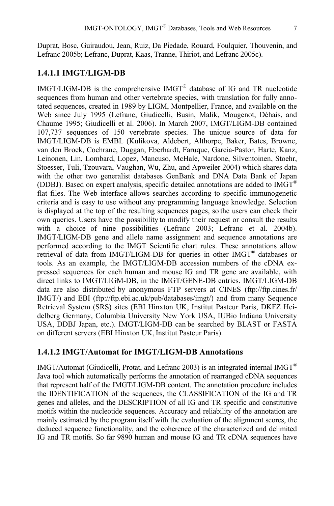Duprat, Bosc, Guiraudou, Jean, Ruiz, Da Piedade, Rouard, Foulquier, Thouvenin, and Lefranc 2005b; Lefranc, Duprat, Kaas, Tranne, Thiriot, and Lefranc 2005c).

#### **1.4.1.1 IMGT/LIGM-DB**

IMGT/LIGM-DB is the comprehensive IMGT® database of IG and TR nucleotide sequences from human and other vertebrate species, with translation for fully annotated sequences, created in 1989 by LIGM, Montpellier, France, and available on the Web since July 1995 (Lefranc, Giudicelli, Busin, Malik, Mougenot, Déhais, and Chaume 1995; Giudicelli et al. 2006). In March 2007, IMGT/LIGM-DB contained 107,737 sequences of 150 vertebrate species. The unique source of data for IMGT/LIGM-DB is EMBL (Kulikova, Aldebert, Althorpe, Baker, Bates, Browne, van den Broek, Cochrane, Duggan, Eberhardt, Faruque, Garcia-Pastor, Harte, Kanz, Leinonen, Lin, Lombard, Lopez, Mancuso, McHale, Nardone, Silventoinen, Stoehr, Stoesser, Tuli, Tzouvara, Vaughan, Wu, Zhu, and Apweiler 2004) which shares data with the other two generalist databases GenBank and DNA Data Bank of Japan (DDBJ). Based on expert analysis, specific detailed annotations are added to  $IMGT^{\circledast}$ flat files. The Web interface allows searches according to specific immunogenetic criteria and is easy to use without any programming language knowledge. Selection is displayed at the top of the resulting sequences pages, so the users can check their own queries. Users have the possibility to modify their request or consult the results with a choice of nine possibilities (Lefranc 2003; Lefranc et al. 2004b). IMGT/LIGM-DB gene and allele name assignment and sequence annotations are performed according to the IMGT Scientific chart rules. These annotations allow retrieval of data from IMGT/LIGM-DB for queries in other IMGT® databases or tools. As an example, the IMGT/LIGM-DB accession numbers of the cDNA expressed sequences for each human and mouse IG and TR gene are available, with direct links to IMGT/LIGM-DB, in the IMGT/GENE-DB entries. IMGT/LIGM-DB data are also distributed by anonymous FTP servers at CINES (ftp://ftp.cines.fr/ IMGT/) and EBI (ftp://ftp.ebi.ac.uk/pub/databases/imgt/) and from many Sequence Retrieval System (SRS) sites (EBI Hinxton UK, Institut Pasteur Paris, DKFZ Heidelberg Germany, Columbia University New York USA, IUBio Indiana University USA, DDBJ Japan, etc.). IMGT/LIGM-DB can be searched by BLAST or FASTA on different servers (EBI Hinxton UK, Institut Pasteur Paris).

#### **1.4.1.2 IMGT/Automat for IMGT/LIGM-DB Annotations**

IMGT/Automat (Giudicelli, Protat, and Lefranc 2003) is an integrated internal IMGT<sup>®</sup> Java tool which automatically performs the annotation of rearranged cDNA sequences that represent half of the IMGT/LIGM-DB content. The annotation procedure includes the IDENTIFICATION of the sequences, the CLASSIFICATION of the IG and TR genes and alleles, and the DESCRIPTION of all IG and TR specific and constitutive motifs within the nucleotide sequences. Accuracy and reliability of the annotation are mainly estimated by the program itself with the evaluation of the alignment scores, the deduced sequence functionality, and the coherence of the characterized and delimited IG and TR motifs. So far 9890 human and mouse IG and TR cDNA sequences have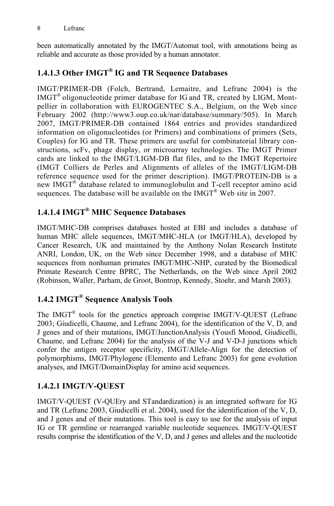been automatically annotated by the IMGT/Automat tool, with annotations being as reliable and accurate as those provided by a human annotator.

#### **1.4.1.3 Other IMGT® IG and TR Sequence Databases**

IMGT/PRIMER-DB (Folch, Bertrand, Lemaitre, and Lefranc 2004) is the IMGT® oligonucleotide primer database for IG and TR, created by LIGM, Montpellier in collaboration with EUROGENTEC S.A., Belgium, on the Web since February 2002 (http://www3.oup.co.uk/nar/database/summary/505). In March 2007, IMGT/PRIMER-DB contained 1864 entries and provides standardized information on oligonucleotides (or Primers) and combinations of primers (Sets, Couples) for IG and TR. These primers are useful for combinatorial library constructions, scFv, phage display, or microarray technologies. The IMGT Primer cards are linked to the IMGT/LIGM-DB flat files, and to the IMGT Repertoire (IMGT Colliers de Perles and Alignments of alleles of the IMGT/LIGM-DB reference sequence used for the primer description). IMGT/PROTEIN-DB is a new IMGT® database related to immunoglobulin and T-cell receptor amino acid sequences. The database will be available on the IMGT<sup>®</sup> Web site in 2007.

### **1.4.1.4 IMGT® MHC Sequence Databases**

IMGT/MHC-DB comprises databases hosted at EBI and includes a database of human MHC allele sequences, IMGT/MHC-HLA (or IMGT/HLA), developed by Cancer Research, UK and maintained by the Anthony Nolan Research Institute ANRI, London, UK, on the Web since December 1998, and a database of MHC sequences from nonhuman primates IMGT/MHC-NHP, curated by the Biomedical Primate Research Centre BPRC, The Netherlands, on the Web since April 2002 (Robinson, Waller, Parham, de Groot, Bontrop, Kennedy, Stoehr, and Marsh 2003).

### **1.4.2 IMGT® Sequence Analysis Tools**

The IMGT<sup>®</sup> tools for the genetics approach comprise IMGT/V-QUEST (Lefranc 2003; Giudicelli, Chaume, and Lefranc 2004), for the identification of the V, D, and J genes and of their mutations, IMGT/JunctionAnalysis (Yousfi Monod, Giudicelli, Chaume, and Lefranc 2004) for the analysis of the V-J and V-D-J junctions which confer the antigen receptor specificity, IMGT/Allele-Align for the detection of polymorphisms, IMGT/Phylogene (Elemento and Lefranc 2003) for gene evolution analyses, and IMGT/DomainDisplay for amino acid sequences.

### **1.4.2.1 IMGT/V-QUEST**

IMGT/V-QUEST (V-QUEry and STandardization) is an integrated software for IG and TR (Lefranc 2003, Giudicelli et al. 2004), used for the identification of the V, D, and J genes and of their mutations. This tool is easy to use for the analysis of input IG or TR germline or rearranged variable nucleotide sequences. IMGT/V-QUEST results comprise the identification of the V, D, and J genes and alleles and the nucleotide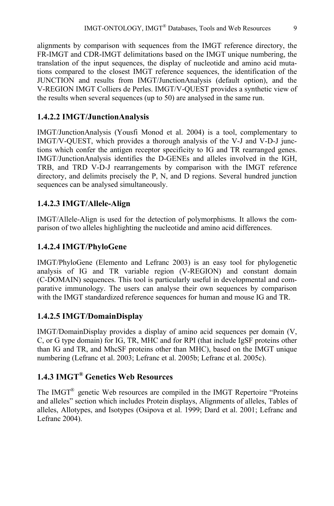alignments by comparison with sequences from the IMGT reference directory, the FR-IMGT and CDR-IMGT delimitations based on the IMGT unique numbering, the translation of the input sequences, the display of nucleotide and amino acid mutations compared to the closest IMGT reference sequences, the identification of the JUNCTION and results from IMGT/JunctionAnalysis (default option), and the V-REGION IMGT Colliers de Perles. IMGT/V-QUEST provides a synthetic view of the results when several sequences (up to 50) are analysed in the same run.

#### **1.4.2.2 IMGT/JunctionAnalysis**

IMGT/JunctionAnalysis (Yousfi Monod et al. 2004) is a tool, complementary to IMGT/V-QUEST, which provides a thorough analysis of the V-J and V-D-J junctions which confer the antigen receptor specificity to IG and TR rearranged genes. IMGT/JunctionAnalysis identifies the D-GENEs and alleles involved in the IGH, TRB, and TRD V-D-J rearrangements by comparison with the IMGT reference directory, and delimits precisely the P, N, and D regions. Several hundred junction sequences can be analysed simultaneously.

#### **1.4.2.3 IMGT/Allele-Align**

IMGT/Allele-Align is used for the detection of polymorphisms. It allows the comparison of two alleles highlighting the nucleotide and amino acid differences.

#### **1.4.2.4 IMGT/PhyloGene**

IMGT/PhyloGene (Elemento and Lefranc 2003) is an easy tool for phylogenetic analysis of IG and TR variable region (V-REGION) and constant domain (C-DOMAIN) sequences. This tool is particularly useful in developmental and comparative immunology. The users can analyse their own sequences by comparison with the IMGT standardized reference sequences for human and mouse IG and TR.

### **1.4.2.5 IMGT/DomainDisplay**

IMGT/DomainDisplay provides a display of amino acid sequences per domain (V, C, or G type domain) for IG, TR, MHC and for RPI (that include IgSF proteins other than IG and TR, and MhcSF proteins other than MHC), based on the IMGT unique numbering (Lefranc et al. 2003; Lefranc et al. 2005b; Lefranc et al. 2005c).

## **1.4.3 IMGT® Genetics Web Resources**

The IMGT® genetic Web resources are compiled in the IMGT Repertoire "Proteins and alleles" section which includes Protein displays, Alignments of alleles, Tables of alleles, Allotypes, and Isotypes (Osipova et al. 1999; Dard et al. 2001; Lefranc and Lefranc 2004).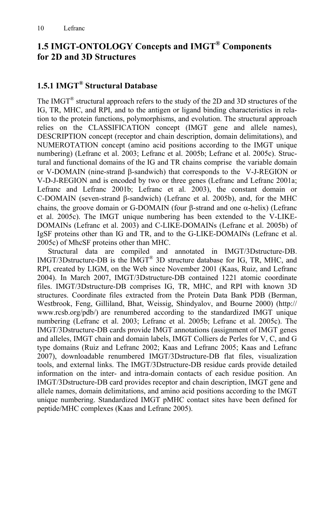### **1.5 IMGT-ONTOLOGY Concepts and IMGT® Components for 2D and 3D Structures**

#### **1.5.1 IMGT® Structural Database**

The IMGT® structural approach refers to the study of the 2D and 3D structures of the IG, TR, MHC, and RPI, and to the antigen or ligand binding characteristics in relation to the protein functions, polymorphisms, and evolution. The structural approach relies on the CLASSIFICATION concept (IMGT gene and allele names), DESCRIPTION concept (receptor and chain description, domain delimitations), and NUMEROTATION concept (amino acid positions according to the IMGT unique numbering) (Lefranc et al. 2003; Lefranc et al. 2005b; Lefranc et al. 2005c). Structural and functional domains of the IG and TR chains comprise the variable domain or V-DOMAIN (nine-strand β-sandwich) that corresponds to the V-J-REGION or V-D-J-REGION and is encoded by two or three genes (Lefranc and Lefranc 2001a; Lefranc and Lefranc 2001b; Lefranc et al. 2003), the constant domain or C-DOMAIN (seven-strand β-sandwich) (Lefranc et al. 2005b), and, for the MHC chains, the groove domain or G-DOMAIN (four β-strand and one  $α$ -helix) (Lefranc et al. 2005c). The IMGT unique numbering has been extended to the V-LIKE-DOMAINs (Lefranc et al. 2003) and C-LIKE-DOMAINs (Lefranc et al. 2005b) of IgSF proteins other than IG and TR, and to the G-LIKE-DOMAINs (Lefranc et al. 2005c) of MhcSF proteins other than MHC.

Structural data are compiled and annotated in IMGT/3Dstructure-DB. IMGT/3Dstructure-DB is the IMGT® 3D structure database for IG, TR, MHC, and RPI, created by LIGM, on the Web since November 2001 (Kaas, Ruiz, and Lefranc 2004). In March 2007, IMGT/3Dstructure-DB contained 1221 atomic coordinate files. IMGT/3Dstructure-DB comprises IG, TR, MHC, and RPI with known 3D structures. Coordinate files extracted from the Protein Data Bank PDB (Berman, Westbrook, Feng, Gilliland, Bhat, Weissig, Shindyalov, and Bourne 2000) (http:// www.rcsb.org/pdb/) are renumbered according to the standardized IMGT unique numbering (Lefranc et al. 2003; Lefranc et al. 2005b; Lefranc et al. 2005c). The IMGT/3Dstructure-DB cards provide IMGT annotations (assignment of IMGT genes and alleles, IMGT chain and domain labels, IMGT Colliers de Perles for V, C, and G type domains (Ruiz and Lefranc 2002; Kaas and Lefranc 2005; Kaas and Lefranc 2007), downloadable renumbered IMGT/3Dstructure-DB flat files, visualization tools, and external links. The IMGT/3Dstructure-DB residue cards provide detailed information on the inter- and intra-domain contacts of each residue position. An IMGT/3Dstructure-DB card provides receptor and chain description, IMGT gene and allele names, domain delimitations, and amino acid positions according to the IMGT unique numbering. Standardized IMGT pMHC contact sites have been defined for peptide/MHC complexes (Kaas and Lefranc 2005).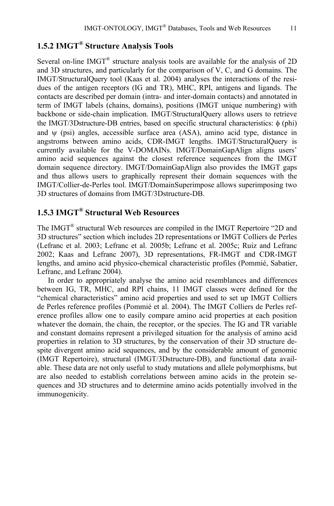### **1.5.2 IMGT® Structure Analysis Tools**

Several on-line IMGT® structure analysis tools are available for the analysis of 2D and 3D structures, and particularly for the comparison of V, C, and G domains. The IMGT/StructuralQuery tool (Kaas et al. 2004) analyses the interactions of the residues of the antigen receptors (IG and TR), MHC, RPI, antigens and ligands. The contacts are described per domain (intra- and inter-domain contacts) and annotated in term of IMGT labels (chains, domains), positions (IMGT unique numbering) with backbone or side-chain implication. IMGT/StructuralQuery allows users to retrieve the IMGT/3Dstructure-DB entries, based on specific structural characteristics: φ (phi) and  $\psi$  (psi) angles, accessible surface area (ASA), amino acid type, distance in angstroms between amino acids, CDR-IMGT lengths. IMGT/StructuralQuery is currently available for the V-DOMAINs. IMGT/DomainGapAlign aligns users' amino acid sequences against the closest reference sequences from the IMGT domain sequence directory. IMGT/DomainGapAlign also provides the IMGT gaps and thus allows users to graphically represent their domain sequences with the IMGT/Collier-de-Perles tool. IMGT/DomainSuperimpose allows superimposing two 3D structures of domains from IMGT/3Dstructure-DB.

#### **1.5.3 IMGT® Structural Web Resources**

The IMGT® structural Web resources are compiled in the IMGT Repertoire "2D and 3D structures" section which includes 2D representations or IMGT Colliers de Perles (Lefranc et al. 2003; Lefranc et al. 2005b; Lefranc et al. 2005c; Ruiz and Lefranc 2002; Kaas and Lefranc 2007), 3D representations, FR-IMGT and CDR-IMGT lengths, and amino acid physico-chemical characteristic profiles (Pommié, Sabatier, Lefranc, and Lefranc 2004).

In order to appropriately analyse the amino acid resemblances and differences between IG, TR, MHC, and RPI chains, 11 IMGT classes were defined for the "chemical characteristics" amino acid properties and used to set up IMGT Colliers de Perles reference profiles (Pommié et al. 2004). The IMGT Colliers de Perles reference profiles allow one to easily compare amino acid properties at each position whatever the domain, the chain, the receptor, or the species. The IG and TR variable and constant domains represent a privileged situation for the analysis of amino acid properties in relation to 3D structures, by the conservation of their 3D structure despite divergent amino acid sequences, and by the considerable amount of genomic (IMGT Repertoire), structural (IMGT/3Dstructure-DB), and functional data available. These data are not only useful to study mutations and allele polymorphisms, but are also needed to establish correlations between amino acids in the protein sequences and 3D structures and to determine amino acids potentially involved in the immunogenicity.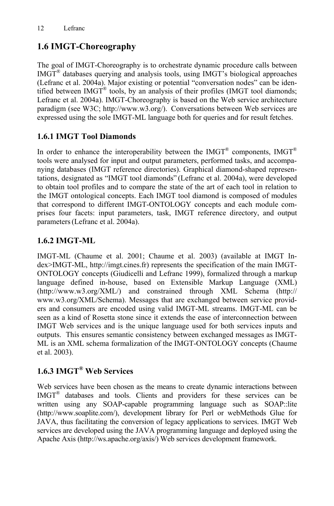### **1.6 IMGT-Choreography**

The goal of IMGT-Choreography is to orchestrate dynamic procedure calls between IMGT® databases querying and analysis tools, using IMGT's biological approaches (Lefranc et al. 2004a). Major existing or potential "conversation nodes" can be identified between IMGT<sup>®</sup> tools, by an analysis of their profiles (IMGT tool diamonds; Lefranc et al. 2004a). IMGT-Choreography is based on the Web service architecture paradigm (see W3C; http://www.w3.org/). Conversations between Web services are expressed using the sole IMGT-ML language both for queries and for result fetches.

#### **1.6.1 IMGT Tool Diamonds**

In order to enhance the interoperability between the IMGT® components, IMGT® tools were analysed for input and output parameters, performed tasks, and accompanying databases (IMGT reference directories). Graphical diamond-shaped representations, designated as "IMGT tool diamonds" (Lefranc et al. 2004a), were developed to obtain tool profiles and to compare the state of the art of each tool in relation to the IMGT ontological concepts. Each IMGT tool diamond is composed of modules that correspond to different IMGT-ONTOLOGY concepts and each module comprises four facets: input parameters, task, IMGT reference directory, and output parameters(Lefranc et al. 2004a).

#### **1.6.2 IMGT-ML**

IMGT-ML (Chaume et al. 2001; Chaume et al. 2003) (available at IMGT Index>IMGT-ML, http://imgt.cines.fr) represents the specification of the main IMGT-ONTOLOGY concepts (Giudicelli and Lefranc 1999), formalized through a markup language defined in-house, based on Extensible Markup Language (XML) (http://www.w3.org/XML/) and constrained through XML Schema (http:// www.w3.org/XML/Schema). Messages that are exchanged between service providers and consumers are encoded using valid IMGT-ML streams. IMGT-ML can be seen as a kind of Rosetta stone since it extends the ease of interconnection between IMGT Web services and is the unique language used for both services inputs and outputs. This ensures semantic consistency between exchanged messages as IMGT-ML is an XML schema formalization of the IMGT-ONTOLOGY concepts (Chaume et al. 2003).

## **1.6.3 IMGT® Web Services**

Web services have been chosen as the means to create dynamic interactions between IMGT® databases and tools. Clients and providers for these services can be written using any SOAP-capable programming language such as SOAP::lite (http://www.soaplite.com/), development library for Perl or webMethods Glue for JAVA, thus facilitating the conversion of legacy applications to services. IMGT Web services are developed using the JAVA programming language and deployed using the Apache Axis (http://ws.apache.org/axis/) Web services development framework.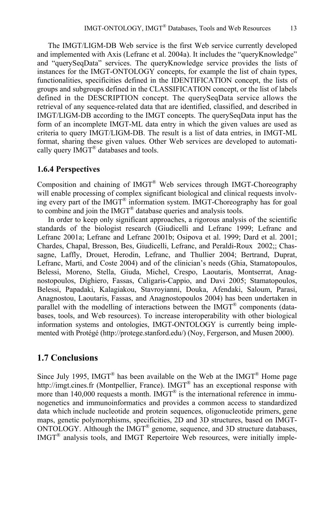The IMGT/LIGM-DB Web service is the first Web service currently developed and implemented with Axis (Lefranc et al. 2004a). It includes the "queryKnowledge" and "querySeqData" services. The queryKnowledge service provides the lists of instances for the IMGT-ONTOLOGY concepts, for example the list of chain types, functionalities, specificities defined in the IDENTIFICATION concept, the lists of groups and subgroups defined in the CLASSIFICATION concept, or the list of labels defined in the DESCRIPTION concept. The querySeqData service allows the retrieval of any sequence-related data that are identified, classified, and described in IMGT/LIGM-DB according to the IMGT concepts. The querySeqData input has the form of an incomplete IMGT-ML data entry in which the given values are used as criteria to query IMGT/LIGM-DB. The result is a list of data entries, in IMGT-ML format, sharing these given values. Other Web services are developed to automatically query IMGT® databases and tools.

#### **1.6.4 Perspectives**

Composition and chaining of  $IMGT^®$  Web services through IMGT-Choreography will enable processing of complex significant biological and clinical requests involving every part of the IMGT® information system. IMGT-Choreography has for goal to combine and join the IMGT® database queries and analysis tools.

In order to keep only significant approaches, a rigorous analysis of the scientific standards of the biologist research (Giudicelli and Lefranc 1999; Lefranc and Lefranc 2001a; Lefranc and Lefranc 2001b; Osipova et al. 1999; Dard et al. 2001; Chardes, Chapal, Bresson, Bes, Giudicelli, Lefranc, and Peraldi-Roux 2002;; Chassagne, Laffly, Drouet, Herodin, Lefranc, and Thullier 2004; Bertrand, Duprat, Lefranc, Marti, and Coste 2004) and of the clinician's needs (Ghia, Stamatopoulos, Belessi, Moreno, Stella, Giuda, Michel, Crespo, Laoutaris, Montserrat, Anagnostopoulos, Dighiero, Fassas, Caligaris-Cappio, and Davi 2005; Stamatopoulos, Belessi, Papadaki, Kalagiakou, Stavroyianni, Douka, Afendaki, Saloum, Parasi, Anagnostou, Laoutaris, Fassas, and Anagnostopoulos 2004) has been undertaken in parallel with the modelling of interactions between the IMGT® components (databases, tools, and Web resources). To increase interoperability with other biological information systems and ontologies, IMGT-ONTOLOGY is currently being implemented with Protégé (http://protege.stanford.edu/) (Noy, Fergerson, and Musen 2000).

#### **1.7 Conclusions**

Since July 1995, IMGT<sup>®</sup> has been available on the Web at the IMGT<sup>®</sup> Home page http://imgt.cines.fr (Montpellier, France). IMGT<sup>®</sup> has an exceptional response with more than 140,000 requests a month. IMGT<sup>®</sup> is the international reference in immunogenetics and immunoinformatics and provides a common access to standardized data which include nucleotide and protein sequences, oligonucleotide primers, gene maps, genetic polymorphisms, specificities, 2D and 3D structures, based on IMGT-ONTOLOGY. Although the IMGT® genome, sequence, and 3D structure databases, IMGT® analysis tools, and IMGT Repertoire Web resources, were initially imple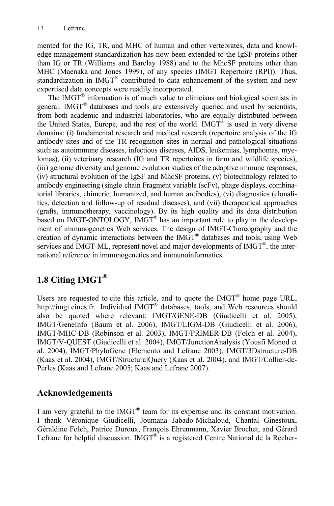mented for the IG, TR, and MHC of human and other vertebrates, data and knowledge management standardization has now been extended to the IgSF proteins other than IG or TR (Williams and Barclay 1988) and to the MhcSF proteins other than MHC (Maenaka and Jones 1999), of any species (IMGT Repertoire (RPI)). Thus, standardization in IMGT® contributed to data enhancement of the system and new expertised data concepts were readily incorporated.

The IMGT® information is of much value to clinicians and biological scientists in general. IMGT® databases and tools are extensively queried and used by scientists, from both academic and industrial laboratories, who are equally distributed between the United States, Europe, and the rest of the world.  $IMGT^{\circledR}$  is used in very diverse domains: (i) fundamental research and medical research (repertoire analysis of the IG antibody sites and of the TR recognition sites in normal and pathological situations such as autoimmune diseases, infectious diseases, AIDS, leukemias, lymphomas, myelomas), (ii) veterinary research (IG and TR repertoires in farm and wildlife species), (iii) genome diversity and genome evolution studies of the adaptive immune responses, (iv) structural evolution of the IgSF and MhcSF proteins, (v) biotechnology related to antibody engineering (single chain Fragment variable (scFv), phage displays, combinatorial libraries, chimeric, humanized, and human antibodies), (vi) diagnostics (clonalities, detection and follow-up of residual diseases), and (vii) therapeutical approaches (grafts, immunotherapy, vaccinology). By its high quality and its data distribution based on IMGT-ONTOLOGY, IMGT<sup>®</sup> has an important role to play in the development of immunogenetics Web services. The design of IMGT-Choreography and the creation of dynamic interactions between the IMGT® databases and tools, using Web services and IMGT-ML, represent novel and major developments of IMGT<sup>®</sup>, the international reference in immunogenetics and immunoinformatics.

## **1.8 Citing IMGT®**

Users are requested to cite this article, and to quote the IMGT® home page URL, http://imgt.cines.fr. Individual IMGT<sup>®</sup> databases, tools, and Web resources should also be quoted where relevant: IMGT/GENE-DB (Giudicelli et al. 2005), IMGT/GeneInfo (Baum et al. 2006), IMGT/LIGM-DB (Giudicelli et al. 2006), IMGT/MHC-DB (Robinson et al. 2003), IMGT/PRIMER-DB (Folch et al. 2004), IMGT/V-QUEST (Giudicelli et al. 2004), IMGT/JunctionAnalysis (Yousfi Monod et al. 2004), IMGT/PhyloGene (Elemento and Lefranc 2003), IMGT/3Dstructure-DB (Kaas et al. 2004), IMGT/StructuralQuery (Kaas et al. 2004), and IMGT/Collier-de-Perles (Kaas and Lefranc 2005; Kaas and Lefranc 2007).

#### **Acknowledgements**

I am very grateful to the IMGT® team for its expertise and its constant motivation. I thank Véronique Giudicelli, Joumana Jabado-Michaloud, Chantal Ginestoux, Géraldine Folch, Patrice Duroux, François Ehrenmann, Xavier Brochet, and Gérard Lefranc for helpful discussion. IMGT<sup>®</sup> is a registered Centre National de la Recher-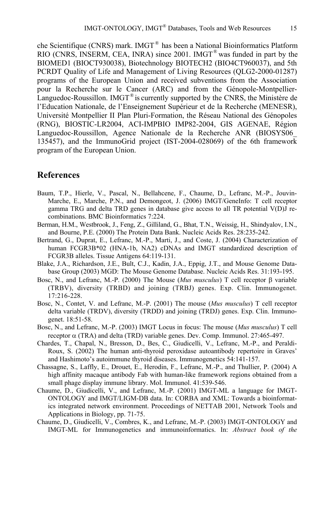che Scientifique (CNRS) mark. IMGT<sup>®</sup> has been a National Bioinformatics Platform RIO (CNRS, INSERM, CEA, INRA) since 2001. IMGT<sup>®</sup> was funded in part by the BIOMED1 (BIOCT930038), Biotechnology BIOTECH2 (BIO4CT960037), and 5th PCRDT Quality of Life and Management of Living Resources (QLG2-2000-01287) programs of the European Union and received subventions from the Association pour la Recherche sur le Cancer (ARC) and from the Génopole-Montpellierl'Education Nationale, de l'Enseignement Supérieur et de la Recherche (MENESR), Université Montpellier II Plan Pluri-Formation, the Réseau National des Génopoles (RNG), BIOSTIC-LR2004, ACI-IMPBIO IMP82-2004, GIS AGENAE, Région Languedoc-Roussillon, Agence Nationale de la Recherche ANR (BIOSYS06\_ 135457), and the ImmunoGrid project (IST-2004-028069) of the 6th framework program of the European Union. Languedoc-Roussillon. IMGT<sup>®</sup> is currently supported by the CNRS, the Ministère de

#### **References**

- Baum, T.P., Hierle, V., Pascal, N., Bellahcene, F., Chaume, D., Lefranc, M.-P., Jouvin-Marche, E., Marche, P.N., and Demongeot, J. (2006) IMGT/GeneInfo: T cell receptor gamma TRG and delta TRD genes in database give access to all TR potential V(D)J recombinations. BMC Bioinformatics 7:224.
- Berman, H.M., Westbrook, J., Feng, Z., Gilliland, G., Bhat, T.N., Weissig, H., Shindyalov, I.N., and Bourne, P.E. (2000) The Protein Data Bank. Nucleic Acids Res. 28:235-242.
- Bertrand, G., Duprat, E., Lefranc, M.-P., Marti, J., and Coste, J. (2004) Characterization of human FCGR3B\*02 (HNA-1b, NA2) cDNAs and IMGT standardized description of FCGR3B alleles. Tissue Antigens 64:119-131.
- Blake, J.A., Richardson, J.E., Bult, C.J., Kadin, J.A., Eppig, J.T., and Mouse Genome Database Group (2003) MGD: The Mouse Genome Database. Nucleic Acids Res. 31:193-195.
- Bosc, N., and Lefranc, M.-P. (2000) The Mouse (*Mus musculus*) T cell receptor β variable (TRBV), diversity (TRBD) and joining (TRBJ) genes. Exp. Clin. Immunogenet. 17:216-228.
- Bosc, N., Contet, V. and Lefranc, M.-P. (2001) The mouse (*Mus musculus*) T cell receptor delta variable (TRDV), diversity (TRDD) and joining (TRDJ) genes. Exp. Clin. Immunogenet. 18:51-58.
- Bosc, N., and Lefranc, M.-P. (2003) IMGT Locus in focus: The mouse (*Mus musculus*) T cell receptor  $\alpha$  (TRA) and delta (TRD) variable genes. Dev. Comp. Immunol. 27:465-497.
- Chardes, T., Chapal, N., Bresson, D., Bes, C., Giudicelli, V., Lefranc, M.-P., and Peraldi-Roux, S. (2002) The human anti-thyroid peroxidase autoantibody repertoire in Graves' and Hashimoto's autoimmune thyroid diseases. Immunogenetics 54:141-157.
- Chassagne, S., Laffly, E., Drouet, E., Herodin, F., Lefranc, M.-P., and Thullier, P. (2004) A high affinity macaque antibody Fab with human-like framework regions obtained from a small phage display immune library. Mol. Immunol. 41:539-546.
- Chaume, D., Giudicelli, V., and Lefranc, M.-P. (2001) IMGT-ML a language for IMGT-ONTOLOGY and IMGT/LIGM-DB data. In: CORBA and XML: Towards a bioinformatics integrated network environment. Proceedings of NETTAB 2001, Network Tools and Applications in Biology, pp. 71-75.
- Chaume, D., Giudicelli, V., Combres, K., and Lefranc, M.-P. (2003) IMGT-ONTOLOGY and IMGT-ML for Immunogenetics and immunoinformatics. In: *Abstract book of the*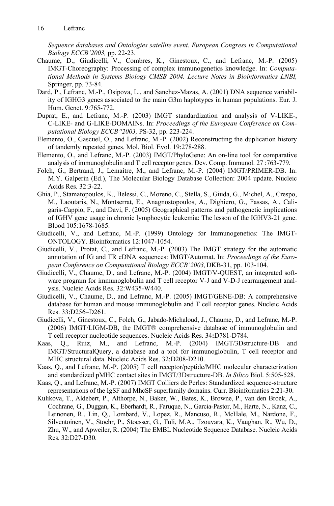*Sequence databases and Ontologies satellite event. European Congress in Computational Biology ECCB'2003,* pp. 22-23.

- Chaume, D., Giudicelli, V., Combres, K., Ginestoux, C., and Lefranc, M.-P. (2005) IMGT-Choreography: Processing of complex immunogenetics knowledge. In: *Computational Methods in Systems Biology CMSB 2004. Lecture Notes in Bioinformatics LNBI,* Springer, pp. 73-84.
- Dard, P., Lefranc, M.-P., Osipova, L., and Sanchez-Mazas, A. (2001) DNA sequence variability of IGHG3 genes associated to the main G3m haplotypes in human populations. Eur. J. Hum. Genet. 9:765-772.
- Duprat, E., and Lefranc, M.-P. (2003) IMGT standardization and analysis of V-LIKE-, C-LIKE- and G-LIKE-DOMAINs. In: *Proceedings of the European Conference on Computational Biology ECCB''2003,* PS-32, pp. 223-224.
- Elemento, O., Gascuel, O., and Lefranc, M.-P. (2002) Reconstructing the duplication history of tandemly repeated genes. Mol. Biol. Evol. 19:278-288.
- Elemento, O., and Lefranc, M.-P. (2003) IMGT/PhyloGene: An on-line tool for comparative analysis of immunoglobulin and T cell receptor genes. Dev. Comp. Immunol. 27 :763-779.
- Folch, G., Bertrand, J., Lemaitre, M., and Lefranc, M.-P. (2004) IMGT/PRIMER-DB. In: M.Y. Galperin (Ed.), The Molecular Biology Database Collection: 2004 update. Nucleic Acids Res. 32:3-22.
- Ghia, P., Stamatopoulos, K., Belessi, C., Moreno, C., Stella, S., Giuda, G., Michel, A., Crespo, M., Laoutaris, N., Montserrat, E., Anagnostopoulos, A., Dighiero, G., Fassas, A., Caligaris-Cappio, F., and Davi, F. (2005) Geographical patterns and pathogenetic implications of IGHV gene usage in chronic lymphocytic leukemia: The lesson of the IGHV3-21 gene. Blood 105:1678-1685.
- Giudicelli, V., and Lefranc, M.-P. (1999) Ontology for Immunogenetics: The IMGT-ONTOLOGY. Bioinformatics 12:1047-1054.
- Giudicelli, V., Protat, C., and Lefranc, M.-P. (2003) The IMGT strategy for the automatic annotation of IG and TR cDNA sequences: IMGT/Automat. In: *Proceedings of the Euro* pean Conference on Computational Biology ECCB'2003, DKB-31, pp. 103-104.
- Giudicelli, V., Chaume, D., and Lefranc, M.-P. (2004) IMGT/V-QUEST, an integrated software program for immunoglobulin and T cell receptor V-J and V-D-J rearrangement analysis. Nucleic Acids Res. 32:W435-W440.
- Giudicelli, V., Chaume, D., and Lefranc, M.-P. (2005) IMGT/GENE-DB: A comprehensive database for human and mouse immunoglobulin and T cell receptor genes. Nucleic Acids Res. 33:D256–D261.
- Giudicelli, V., Ginestoux, C., Folch, G., Jabado-Michaloud, J., Chaume, D., and Lefranc, M.-P. (2006) IMGT/LIGM-DB, the IMGT® comprehensive database of immunoglobulin and T cell receptor nucleotide sequences. Nucleic Acids Res. 34**:**D781-D784.
- Kaas, Q., Ruiz, M., and Lefranc, M.-P. (2004) IMGT/3Dstructure-DB and IMGT/StructuralQuery, a database and a tool for immunoglobulin, T cell receptor and MHC structural data. Nucleic Acids Res. 32:D208-D210.
- Kaas, Q., and Lefranc, M.-P. (2005) T cell receptor/peptide/MHC molecular characterization and standardized pMHC contact sites in IMGT/3Dstructure-DB. *In Silico* Biol. 5:505-528.
- Kaas, Q., and Lefranc, M.-P. (2007) IMGT Colliers de Perles: Standardized sequence-structure representations of the IgSF and MhcSF superfamily domains. Curr. Bioinformatics 2:21-30.
- Kulikova, T., Aldebert, P., Althorpe, N., Baker, W., Bates, K., Browne, P., van den Broek, A., Cochrane, G., Duggan, K., Eberhardt, R., Faruque, N., Garcia-Pastor, M., Harte, N., Kanz, C., Leinonen, R., Lin, Q., Lombard, V., Lopez, R., Mancuso, R., McHale, M., Nardone, F., Silventoinen, V., Stoehr, P., Stoesser, G., Tuli, M.A., Tzouvara, K., Vaughan, R., Wu, D., Zhu, W., and Apweiler, R. (2004) The EMBL Nucleotide Sequence Database. Nucleic Acids Res. 32:D27-D30.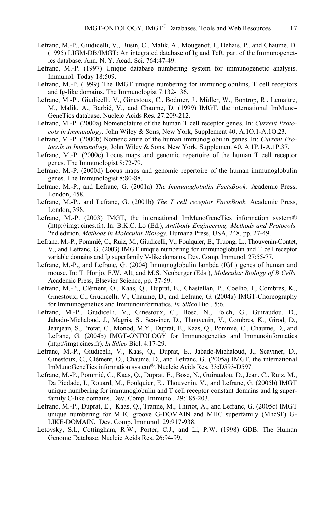- Lefranc, M.-P., Giudicelli, V., Busin, C., Malik, A., Mougenot, I., Déhais, P., and Chaume, D. (1995) LIGM-DB/IMGT: An integrated database of Ig and TcR, part of the Immunogenetics database. Ann. N. Y. Acad. Sci. 764:47-49.
- Lefranc, M.-P. (1997) Unique database numbering system for immunogenetic analysis. Immunol. Today 18:509.
- Lefranc, M.-P. (1999) The IMGT unique numbering for immunoglobulins, T cell receptors and Ig-like domains. The Immunologist 7:132-136.
- Lefranc, M.-P., Giudicelli, V., Ginestoux, C., Bodmer, J., Müller, W., Bontrop, R., Lemaitre, M., Malik, A., Barbié, V., and Chaume, D. (1999) IMGT, the international ImMuno-GeneTics database. Nucleic Acids Res. 27:209-212.
- Lefranc, M.-P. (2000a) Nomenclature of the human T cell receptor genes. In: *Current Protocols in Immunology,* John Wiley & Sons, New York, Supplement 40, A.1O.1-A.1O.23.
- Lefranc, M.-P. (2000b) Nomenclature of the human immunoglobulin genes. In: *Current Protocols in Immunology,* John Wiley & Sons, New York, Supplement 40, A.1P.1-A.1P.37.
- Lefranc, M.-P. (2000c) Locus maps and genomic repertoire of the human T cell receptor genes. The Immunologist 8:72-79.
- Lefranc, M.-P. (2000d) Locus maps and genomic repertoire of the human immunoglobulin genes. The Immunologist 8:80-88.
- Lefranc, M.-P., and Lefranc, G. (2001a) *The Immunoglobulin FactsBook.* Academic Press, London, 458.
- Lefranc, M.-P., and Lefranc, G. (2001b) *The T cell receptor FactsBook.* Academic Press, London, 398.
- Lefranc, M.-P. (2003) IMGT, the international ImMunoGeneTics information system® (http://imgt.cines.fr). In: B.K.C. Lo (Ed.), *Antibody Engineering: Methods and Protocols.* 2nd edition*. Methods in Molecular Biology.* Humana Press, USA, 248, pp. 27-49.
- Lefranc, M.-P., Pommié, C., Ruiz, M., Giudicelli, V., Foulquier, E., Truong, L., Thouvenin-Contet, V., and Lefranc, G. (2003) IMGT unique numbering for immunoglobulin and T cell receptor variable domains and Ig superfamily V-like domains. Dev. Comp. Immunol. 27:55-77.
- Lefranc, M.-P., and Lefranc, G. (2004) Immunoglobulin lambda (IGL) genes of human and mouse. In: T. Honjo, F.W. Alt, and M.S. Neuberger (Eds.), *Molecular Biology of B Cells.*  Academic Press, Elsevier Science, pp. 37-59.
- Lefranc, M.-P., Clément, O., Kaas, Q., Duprat, E., Chastellan, P., Coelho, I., Combres, K., Ginestoux, C., Giudicelli, V., Chaume, D., and Lefranc, G. (2004a) IMGT-Choreography for Immunogenetics and Immunoinformatics. *In Silico* Biol. 5:6.
- Lefranc, M.-P., Giudicelli, V., Ginestoux, C., Bosc, N., Folch, G., Guiraudou, D., Jabado-Michaloud, J., Magris, S., Scaviner, D., Thouvenin, V., Combres, K., Girod, D., Jeanjean, S., Protat, C., Monod, M.Y., Duprat, E., Kaas, Q., Pommié, C., Chaume, D., and Lefranc, G. (2004b) IMGT-ONTOLOGY for Immunogenetics and Immunoinformatics (http://imgt.cines.fr). *In Silico* Biol. 4:17-29.
- Lefranc, M.-P., Giudicelli, V., Kaas, Q., Duprat, E., Jabado-Michaloud, J., Scaviner, D., Ginestoux, C., Clément, O., Chaume, D., and Lefranc, G. (2005a) IMGT, the international ImMunoGeneTics information system<sup>®</sup>. Nucleic Acids Res. 33:D593-D597.
- Lefranc, M.-P., Pommié, C., Kaas, Q., Duprat, E., Bosc, N., Guiraudou, D., Jean, C., Ruiz, M., Da Piedade, I., Rouard, M., Foulquier, E., Thouvenin, V., and Lefranc, G. (2005b) IMGT unique numbering for immunoglobulin and T cell receptor constant domains and Ig superfamily C-like domains. Dev. Comp. Immunol. 29:185-203.
- Lefranc, M.-P., Duprat, E., Kaas, Q., Tranne, M., Thiriot, A., and Lefranc, G. (2005c) IMGT unique numbering for MHC groove G-DOMAIN and MHC superfamily (MhcSF) G-LIKE-DOMAIN. Dev. Comp. Immunol. 29:917-938.
- Letovsky, S.I., Cottingham, R.W., Porter, C.J., and Li, P.W. (1998) GDB: The Human Genome Database. Nucleic Acids Res. 26:94-99.